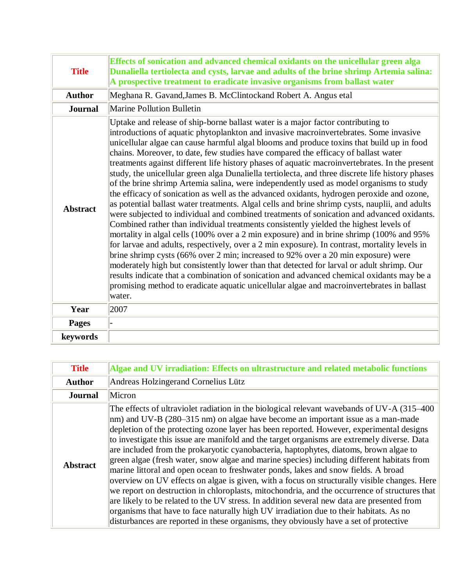| <b>Title</b>    | Effects of sonication and advanced chemical oxidants on the unicellular green alga<br>Dunaliella tertiolecta and cysts, larvae and adults of the brine shrimp Artemia salina:<br>A prospective treatment to eradicate invasive organisms from ballast water                                                                                                                                                                                                                                                                                                                                                                                                                                                                                                                                                                                                                                                                                                                                                                                                                                                                                                                                                                                                                                                                                                                                                                                                                                                                                                                                                                          |
|-----------------|--------------------------------------------------------------------------------------------------------------------------------------------------------------------------------------------------------------------------------------------------------------------------------------------------------------------------------------------------------------------------------------------------------------------------------------------------------------------------------------------------------------------------------------------------------------------------------------------------------------------------------------------------------------------------------------------------------------------------------------------------------------------------------------------------------------------------------------------------------------------------------------------------------------------------------------------------------------------------------------------------------------------------------------------------------------------------------------------------------------------------------------------------------------------------------------------------------------------------------------------------------------------------------------------------------------------------------------------------------------------------------------------------------------------------------------------------------------------------------------------------------------------------------------------------------------------------------------------------------------------------------------|
| <b>Author</b>   | Meghana R. Gavand, James B. McClintockand Robert A. Angus etal                                                                                                                                                                                                                                                                                                                                                                                                                                                                                                                                                                                                                                                                                                                                                                                                                                                                                                                                                                                                                                                                                                                                                                                                                                                                                                                                                                                                                                                                                                                                                                       |
| <b>Journal</b>  | <b>Marine Pollution Bulletin</b>                                                                                                                                                                                                                                                                                                                                                                                                                                                                                                                                                                                                                                                                                                                                                                                                                                                                                                                                                                                                                                                                                                                                                                                                                                                                                                                                                                                                                                                                                                                                                                                                     |
| <b>Abstract</b> | Uptake and release of ship-borne ballast water is a major factor contributing to<br>introductions of aquatic phytoplankton and invasive macroinvertebrates. Some invasive<br>unicellular algae can cause harmful algal blooms and produce toxins that build up in food<br>chains. Moreover, to date, few studies have compared the efficacy of ballast water<br>treatments against different life history phases of aquatic macroinvertebrates. In the present<br>study, the unicellular green alga Dunaliella tertiolecta, and three discrete life history phases<br>of the brine shrimp Artemia salina, were independently used as model organisms to study<br>the efficacy of sonication as well as the advanced oxidants, hydrogen peroxide and ozone,<br>as potential ballast water treatments. Algal cells and brine shrimp cysts, nauplii, and adults<br>were subjected to individual and combined treatments of sonication and advanced oxidants.<br>Combined rather than individual treatments consistently yielded the highest levels of<br>mortality in algal cells (100% over a 2 min exposure) and in brine shrimp (100% and 95%<br>for larvae and adults, respectively, over a 2 min exposure). In contrast, mortality levels in<br>brine shrimp cysts (66% over 2 min; increased to 92% over a 20 min exposure) were<br>moderately high but consistently lower than that detected for larval or adult shrimp. Our<br>results indicate that a combination of sonication and advanced chemical oxidants may be a<br>promising method to eradicate aquatic unicellular algae and macroinvertebrates in ballast<br>water. |
| Year            | 2007                                                                                                                                                                                                                                                                                                                                                                                                                                                                                                                                                                                                                                                                                                                                                                                                                                                                                                                                                                                                                                                                                                                                                                                                                                                                                                                                                                                                                                                                                                                                                                                                                                 |
| <b>Pages</b>    |                                                                                                                                                                                                                                                                                                                                                                                                                                                                                                                                                                                                                                                                                                                                                                                                                                                                                                                                                                                                                                                                                                                                                                                                                                                                                                                                                                                                                                                                                                                                                                                                                                      |
| keywords        |                                                                                                                                                                                                                                                                                                                                                                                                                                                                                                                                                                                                                                                                                                                                                                                                                                                                                                                                                                                                                                                                                                                                                                                                                                                                                                                                                                                                                                                                                                                                                                                                                                      |

| <b>Title</b>    | Algae and UV irradiation: Effects on ultrastructure and related metabolic functions                                                                                                                                                                                                                                                                                                                                                                                                                                                                                                                                                                                                                                                                                                                                                                                                                                                                                                                                                                                                                                                      |
|-----------------|------------------------------------------------------------------------------------------------------------------------------------------------------------------------------------------------------------------------------------------------------------------------------------------------------------------------------------------------------------------------------------------------------------------------------------------------------------------------------------------------------------------------------------------------------------------------------------------------------------------------------------------------------------------------------------------------------------------------------------------------------------------------------------------------------------------------------------------------------------------------------------------------------------------------------------------------------------------------------------------------------------------------------------------------------------------------------------------------------------------------------------------|
| <b>Author</b>   | Andreas Holzingerand Cornelius Lütz                                                                                                                                                                                                                                                                                                                                                                                                                                                                                                                                                                                                                                                                                                                                                                                                                                                                                                                                                                                                                                                                                                      |
| <b>Journal</b>  | Micron                                                                                                                                                                                                                                                                                                                                                                                                                                                                                                                                                                                                                                                                                                                                                                                                                                                                                                                                                                                                                                                                                                                                   |
| <b>Abstract</b> | The effects of ultraviolet radiation in the biological relevant wavebands of UV-A (315–400)<br>nm) and UV-B (280–315 nm) on algae have become an important issue as a man-made<br>depletion of the protecting ozone layer has been reported. However, experimental designs<br>to investigate this issue are manifold and the target organisms are extremely diverse. Data<br>are included from the prokaryotic cyanobacteria, haptophytes, diatoms, brown algae to<br>green algae (fresh water, snow algae and marine species) including different habitats from<br>marine littoral and open ocean to freshwater ponds, lakes and snow fields. A broad<br>overview on UV effects on algae is given, with a focus on structurally visible changes. Here<br>we report on destruction in chloroplasts, mitochondria, and the occurrence of structures that<br>are likely to be related to the UV stress. In addition several new data are presented from<br>organisms that have to face naturally high UV irradiation due to their habitats. As no<br>disturbances are reported in these organisms, they obviously have a set of protective |